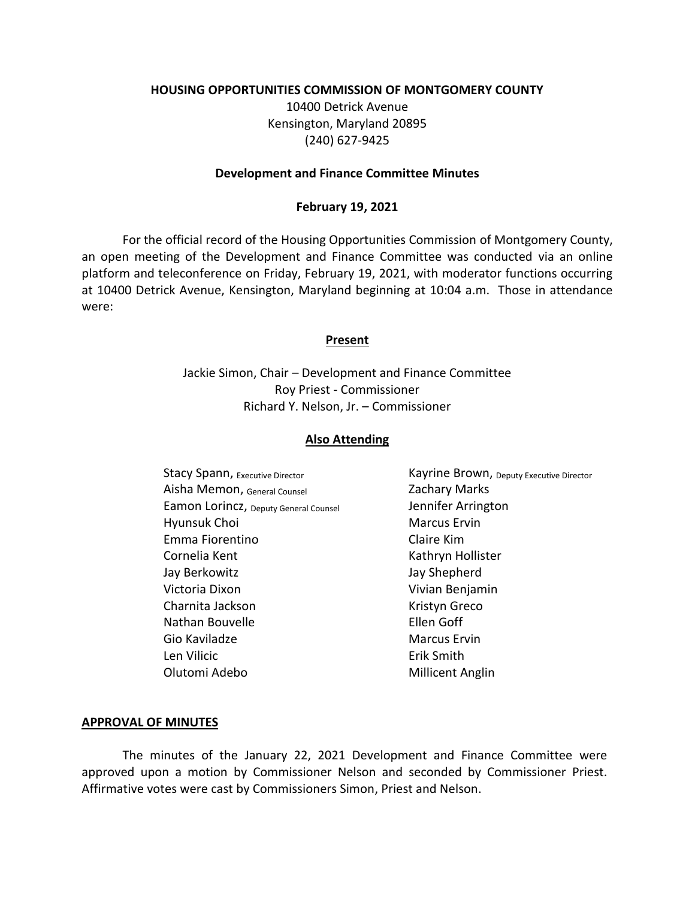#### **HOUSING OPPORTUNITIES COMMISSION OF MONTGOMERY COUNTY**

10400 Detrick Avenue Kensington, Maryland 20895 (240) 627-9425

#### **Development and Finance Committee Minutes**

### **February 19, 2021**

For the official record of the Housing Opportunities Commission of Montgomery County, an open meeting of the Development and Finance Committee was conducted via an online platform and teleconference on Friday, February 19, 2021, with moderator functions occurring at 10400 Detrick Avenue, Kensington, Maryland beginning at 10:04 a.m. Those in attendance were:

### **Present**

Jackie Simon, Chair – Development and Finance Committee Roy Priest - Commissioner Richard Y. Nelson, Jr. – Commissioner

### **Also Attending**

Stacy Spann, Executive Director **Kayrine Brown**, Deputy Executive Director Aisha Memon, General Counsel **Land Convertsed Cases** Zachary Marks Eamon Lorincz, Deputy General Counsel **Jennifer Arrington** Hyunsuk Choi **Marcus Ervin** Marcus Ervin Emma Fiorentino Claire Kim Cornelia Kent Kathryn Hollister Jay Berkowitz Jay Shepherd Victoria Dixon Vivian Benjamin Charnita Jackson Kristyn Greco Nathan Bouvelle **Ellen** Goff Gio Kaviladze **Marcus Ervin** Len Vilicic **Erik Smith** Olutomi Adebo Millicent Anglin

#### **APPROVAL OF MINUTES**

The minutes of the January 22, 2021 Development and Finance Committee were approved upon a motion by Commissioner Nelson and seconded by Commissioner Priest. Affirmative votes were cast by Commissioners Simon, Priest and Nelson.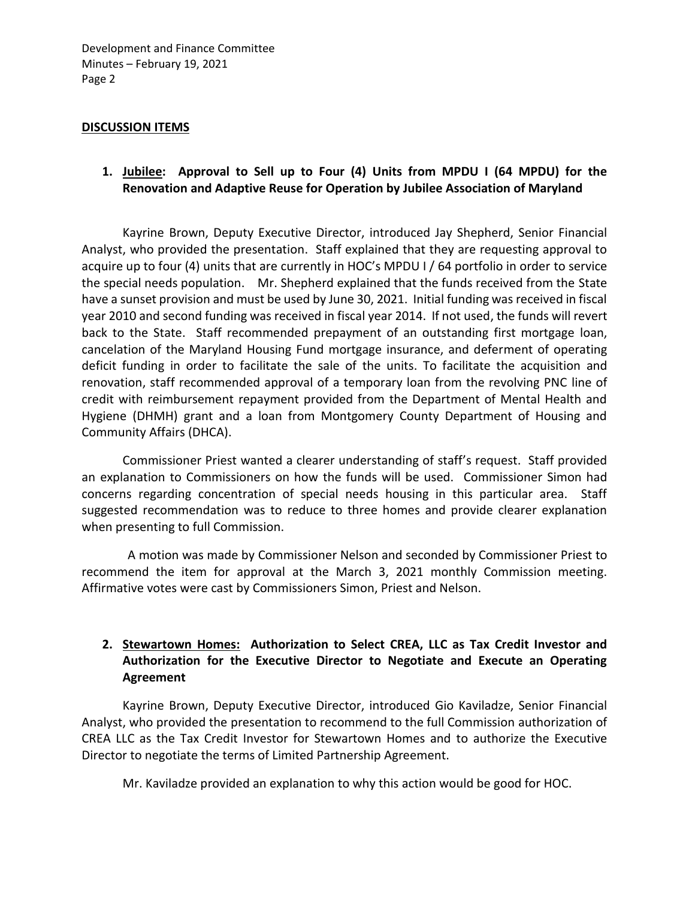## **DISCUSSION ITEMS**

# **1. Jubilee: Approval to Sell up to Four (4) Units from MPDU I (64 MPDU) for the Renovation and Adaptive Reuse for Operation by Jubilee Association of Maryland**

Kayrine Brown, Deputy Executive Director, introduced Jay Shepherd, Senior Financial Analyst, who provided the presentation. Staff explained that they are requesting approval to acquire up to four (4) units that are currently in HOC's MPDU I / 64 portfolio in order to service the special needs population. Mr. Shepherd explained that the funds received from the State have a sunset provision and must be used by June 30, 2021. Initial funding was received in fiscal year 2010 and second funding was received in fiscal year 2014. If not used, the funds will revert back to the State. Staff recommended prepayment of an outstanding first mortgage loan, cancelation of the Maryland Housing Fund mortgage insurance, and deferment of operating deficit funding in order to facilitate the sale of the units. To facilitate the acquisition and renovation, staff recommended approval of a temporary loan from the revolving PNC line of credit with reimbursement repayment provided from the Department of Mental Health and Hygiene (DHMH) grant and a loan from Montgomery County Department of Housing and Community Affairs (DHCA).

Commissioner Priest wanted a clearer understanding of staff's request. Staff provided an explanation to Commissioners on how the funds will be used. Commissioner Simon had concerns regarding concentration of special needs housing in this particular area. Staff suggested recommendation was to reduce to three homes and provide clearer explanation when presenting to full Commission.

A motion was made by Commissioner Nelson and seconded by Commissioner Priest to recommend the item for approval at the March 3, 2021 monthly Commission meeting. Affirmative votes were cast by Commissioners Simon, Priest and Nelson.

# **2. Stewartown Homes: Authorization to Select CREA, LLC as Tax Credit Investor and Authorization for the Executive Director to Negotiate and Execute an Operating Agreement**

Kayrine Brown, Deputy Executive Director, introduced Gio Kaviladze, Senior Financial Analyst, who provided the presentation to recommend to the full Commission authorization of CREA LLC as the Tax Credit Investor for Stewartown Homes and to authorize the Executive Director to negotiate the terms of Limited Partnership Agreement.

Mr. Kaviladze provided an explanation to why this action would be good for HOC.